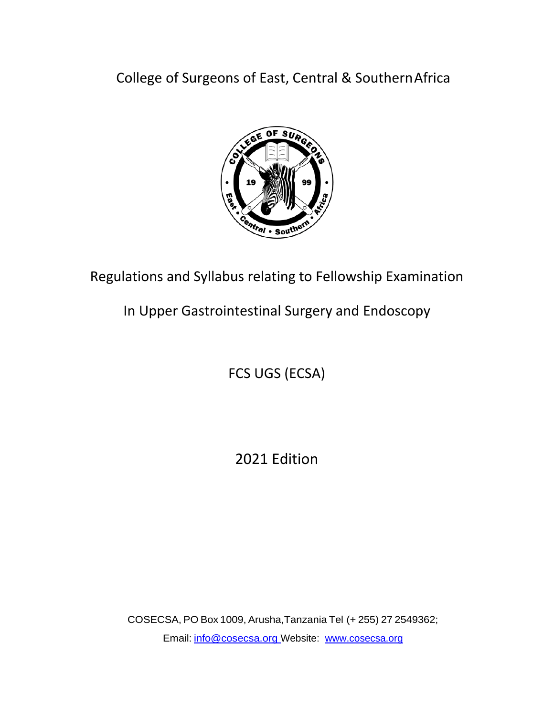College of Surgeons of East, Central & SouthernAfrica



Regulations and Syllabus relating to Fellowship Examination

In Upper Gastrointestinal Surgery and Endoscopy

FCS UGS (ECSA)

2021 Edition

COSECSA, PO Box 1009, Arusha,Tanzania Tel (+ 255) 27 2549362; Email: [info@cosecsa.org](mailto:info@cosecsa.org) Website: [www.cosecsa.org](http://www.cosecsa.org/)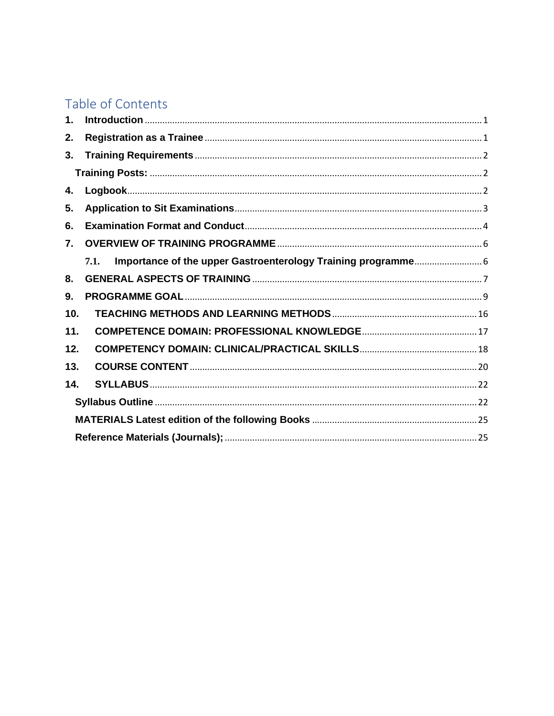# Table of Contents

| 1.  |      |
|-----|------|
| 2.  |      |
| 3.  |      |
|     |      |
| 4.  |      |
| 5.  |      |
| 6.  |      |
| 7.  |      |
|     | 7.1. |
| 8.  |      |
| 9.  |      |
| 10. |      |
| 11. |      |
| 12. |      |
| 13. |      |
| 14. |      |
|     |      |
|     |      |
|     |      |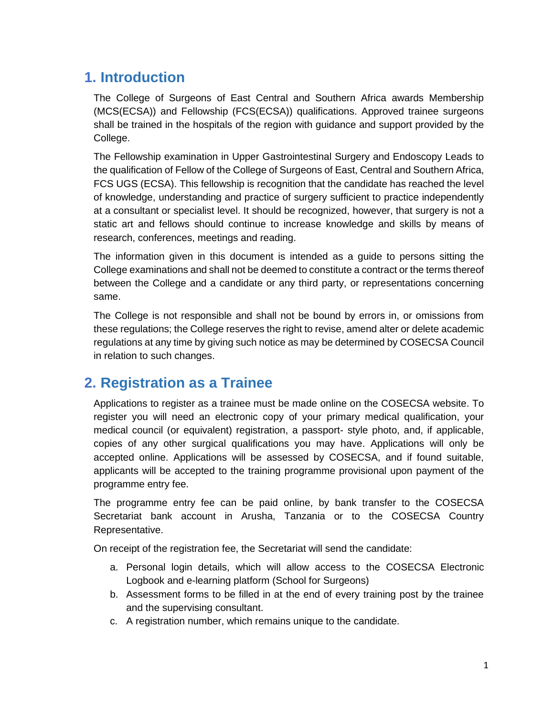## <span id="page-2-0"></span>**1. Introduction**

The College of Surgeons of East Central and Southern Africa awards Membership (MCS(ECSA)) and Fellowship (FCS(ECSA)) qualifications. Approved trainee surgeons shall be trained in the hospitals of the region with guidance and support provided by the College.

The Fellowship examination in Upper Gastrointestinal Surgery and Endoscopy Leads to the qualification of Fellow of the College of Surgeons of East, Central and Southern Africa, FCS UGS (ECSA). This fellowship is recognition that the candidate has reached the level of knowledge, understanding and practice of surgery sufficient to practice independently at a consultant or specialist level. It should be recognized, however, that surgery is not a static art and fellows should continue to increase knowledge and skills by means of research, conferences, meetings and reading.

The information given in this document is intended as a guide to persons sitting the College examinations and shall not be deemed to constitute a contract or the terms thereof between the College and a candidate or any third party, or representations concerning same.

The College is not responsible and shall not be bound by errors in, or omissions from these regulations; the College reserves the right to revise, amend alter or delete academic regulations at any time by giving such notice as may be determined by COSECSA Council in relation to such changes.

## <span id="page-2-1"></span>**2. Registration as a Trainee**

Applications to register as a trainee must be made online on the COSECSA website. To register you will need an electronic copy of your primary medical qualification, your medical council (or equivalent) registration, a passport- style photo, and, if applicable, copies of any other surgical qualifications you may have. Applications will only be accepted online. Applications will be assessed by COSECSA, and if found suitable, applicants will be accepted to the training programme provisional upon payment of the programme entry fee.

The programme entry fee can be paid online, by bank transfer to the COSECSA Secretariat bank account in Arusha, Tanzania or to the COSECSA Country Representative.

On receipt of the registration fee, the Secretariat will send the candidate:

- a. Personal login details, which will allow access to the COSECSA Electronic Logbook and e-learning platform (School for Surgeons)
- b. Assessment forms to be filled in at the end of every training post by the trainee and the supervising consultant.
- c. A registration number, which remains unique to the candidate.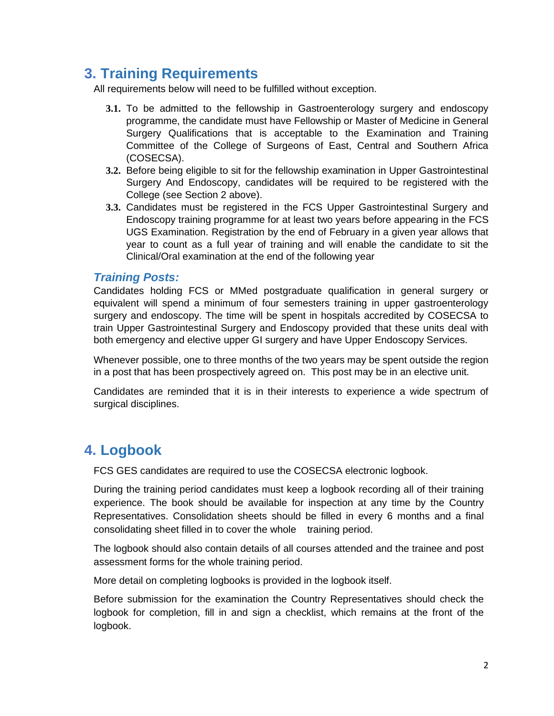# <span id="page-3-0"></span>**3. Training Requirements**

All requirements below will need to be fulfilled without exception.

- **3.1.** To be admitted to the fellowship in Gastroenterology surgery and endoscopy programme, the candidate must have Fellowship or Master of Medicine in General Surgery Qualifications that is acceptable to the Examination and Training Committee of the College of Surgeons of East, Central and Southern Africa (COSECSA).
- **3.2.** Before being eligible to sit for the fellowship examination in Upper Gastrointestinal Surgery And Endoscopy, candidates will be required to be registered with the College (see Section 2 above).
- **3.3.** Candidates must be registered in the FCS Upper Gastrointestinal Surgery and Endoscopy training programme for at least two years before appearing in the FCS UGS Examination. Registration by the end of February in a given year allows that year to count as a full year of training and will enable the candidate to sit the Clinical/Oral examination at the end of the following year

## <span id="page-3-1"></span>*Training Posts:*

Candidates holding FCS or MMed postgraduate qualification in general surgery or equivalent will spend a minimum of four semesters training in upper gastroenterology surgery and endoscopy. The time will be spent in hospitals accredited by COSECSA to train Upper Gastrointestinal Surgery and Endoscopy provided that these units deal with both emergency and elective upper GI surgery and have Upper Endoscopy Services.

Whenever possible, one to three months of the two years may be spent outside the region in a post that has been prospectively agreed on. This post may be in an elective unit.

Candidates are reminded that it is in their interests to experience a wide spectrum of surgical disciplines.

## <span id="page-3-2"></span>**4. Logbook**

FCS GES candidates are required to use the COSECSA electronic logbook.

During the training period candidates must keep a logbook recording all of their training experience. The book should be available for inspection at any time by the Country Representatives. Consolidation sheets should be filled in every 6 months and a final consolidating sheet filled in to cover the whole training period.

The logbook should also contain details of all courses attended and the trainee and post assessment forms for the whole training period.

More detail on completing logbooks is provided in the logbook itself.

Before submission for the examination the Country Representatives should check the logbook for completion, fill in and sign a checklist, which remains at the front of the logbook.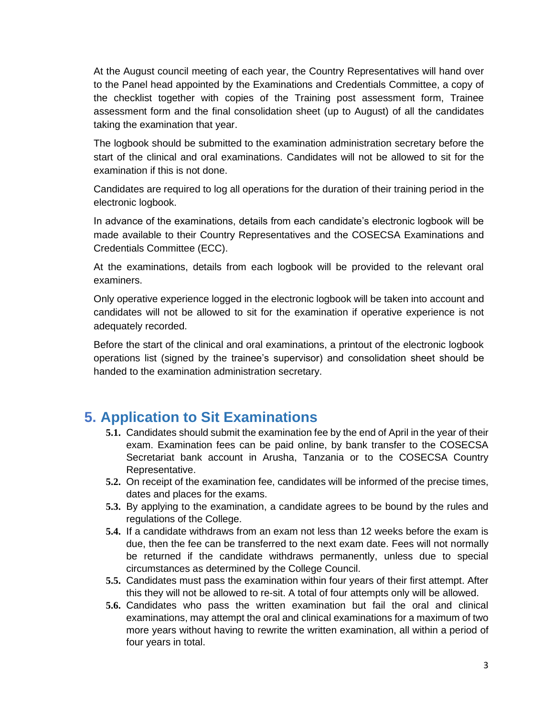At the August council meeting of each year, the Country Representatives will hand over to the Panel head appointed by the Examinations and Credentials Committee, a copy of the checklist together with copies of the Training post assessment form, Trainee assessment form and the final consolidation sheet (up to August) of all the candidates taking the examination that year.

The logbook should be submitted to the examination administration secretary before the start of the clinical and oral examinations. Candidates will not be allowed to sit for the examination if this is not done.

Candidates are required to log all operations for the duration of their training period in the electronic logbook.

In advance of the examinations, details from each candidate's electronic logbook will be made available to their Country Representatives and the COSECSA Examinations and Credentials Committee (ECC).

At the examinations, details from each logbook will be provided to the relevant oral examiners.

Only operative experience logged in the electronic logbook will be taken into account and candidates will not be allowed to sit for the examination if operative experience is not adequately recorded.

Before the start of the clinical and oral examinations, a printout of the electronic logbook operations list (signed by the trainee's supervisor) and consolidation sheet should be handed to the examination administration secretary.

## <span id="page-4-0"></span>**5. Application to Sit Examinations**

- **5.1.** Candidates should submit the examination fee by the end of April in the year of their exam. Examination fees can be paid online, by bank transfer to the COSECSA Secretariat bank account in Arusha, Tanzania or to the COSECSA Country Representative.
- **5.2.** On receipt of the examination fee, candidates will be informed of the precise times, dates and places for the exams.
- **5.3.** By applying to the examination, a candidate agrees to be bound by the rules and regulations of the College.
- **5.4.** If a candidate withdraws from an exam not less than 12 weeks before the exam is due, then the fee can be transferred to the next exam date. Fees will not normally be returned if the candidate withdraws permanently, unless due to special circumstances as determined by the College Council.
- **5.5.** Candidates must pass the examination within four years of their first attempt. After this they will not be allowed to re-sit. A total of four attempts only will be allowed.
- **5.6.** Candidates who pass the written examination but fail the oral and clinical examinations, may attempt the oral and clinical examinations for a maximum of two more years without having to rewrite the written examination, all within a period of four years in total.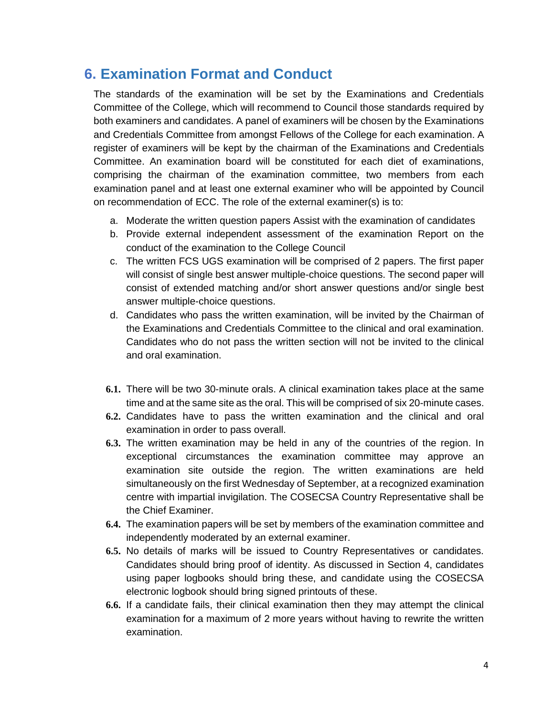## <span id="page-5-0"></span>**6. Examination Format and Conduct**

The standards of the examination will be set by the Examinations and Credentials Committee of the College, which will recommend to Council those standards required by both examiners and candidates. A panel of examiners will be chosen by the Examinations and Credentials Committee from amongst Fellows of the College for each examination. A register of examiners will be kept by the chairman of the Examinations and Credentials Committee. An examination board will be constituted for each diet of examinations, comprising the chairman of the examination committee, two members from each examination panel and at least one external examiner who will be appointed by Council on recommendation of ECC. The role of the external examiner(s) is to:

- a. Moderate the written question papers Assist with the examination of candidates
- b. Provide external independent assessment of the examination Report on the conduct of the examination to the College Council
- c. The written FCS UGS examination will be comprised of 2 papers. The first paper will consist of single best answer multiple-choice questions. The second paper will consist of extended matching and/or short answer questions and/or single best answer multiple-choice questions.
- d. Candidates who pass the written examination, will be invited by the Chairman of the Examinations and Credentials Committee to the clinical and oral examination. Candidates who do not pass the written section will not be invited to the clinical and oral examination.
- **6.1.** There will be two 30-minute orals. A clinical examination takes place at the same time and at the same site as the oral. This will be comprised of six 20-minute cases.
- **6.2.** Candidates have to pass the written examination and the clinical and oral examination in order to pass overall.
- **6.3.** The written examination may be held in any of the countries of the region. In exceptional circumstances the examination committee may approve an examination site outside the region. The written examinations are held simultaneously on the first Wednesday of September, at a recognized examination centre with impartial invigilation. The COSECSA Country Representative shall be the Chief Examiner.
- **6.4.** The examination papers will be set by members of the examination committee and independently moderated by an external examiner.
- **6.5.** No details of marks will be issued to Country Representatives or candidates. Candidates should bring proof of identity. As discussed in Section 4, candidates using paper logbooks should bring these, and candidate using the COSECSA electronic logbook should bring signed printouts of these.
- **6.6.** If a candidate fails, their clinical examination then they may attempt the clinical examination for a maximum of 2 more years without having to rewrite the written examination.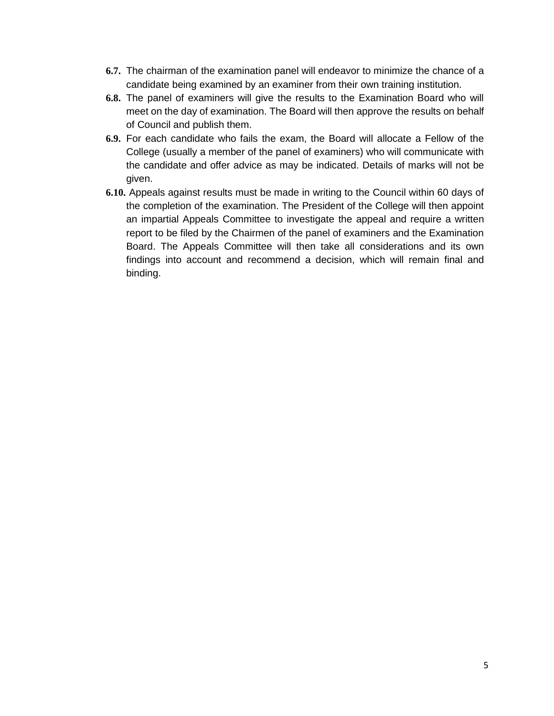- **6.7.** The chairman of the examination panel will endeavor to minimize the chance of a candidate being examined by an examiner from their own training institution.
- **6.8.** The panel of examiners will give the results to the Examination Board who will meet on the day of examination. The Board will then approve the results on behalf of Council and publish them.
- **6.9.** For each candidate who fails the exam, the Board will allocate a Fellow of the College (usually a member of the panel of examiners) who will communicate with the candidate and offer advice as may be indicated. Details of marks will not be given.
- **6.10.** Appeals against results must be made in writing to the Council within 60 days of the completion of the examination. The President of the College will then appoint an impartial Appeals Committee to investigate the appeal and require a written report to be filed by the Chairmen of the panel of examiners and the Examination Board. The Appeals Committee will then take all considerations and its own findings into account and recommend a decision, which will remain final and binding.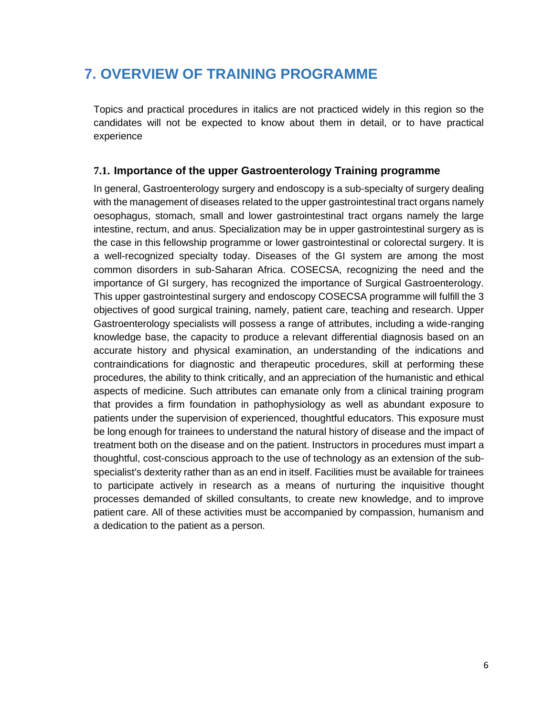## <span id="page-7-0"></span>**7. OVERVIEW OF TRAINING PROGRAMME**

Topics and practical procedures in italics are not practiced widely in this region so the candidates will not be expected to know about them in detail, or to have practical experience

## <span id="page-7-1"></span>**7.1. Importance of the upper Gastroenterology Training programme**

In general, Gastroenterology surgery and endoscopy is a sub-specialty of surgery dealing with the management of diseases related to the upper gastrointestinal tract organs namely oesophagus, stomach, small and lower gastrointestinal tract organs namely the large intestine, rectum, and anus. Specialization may be in upper gastrointestinal surgery as is the case in this fellowship programme or lower gastrointestinal or colorectal surgery. It is a well-recognized specialty today. Diseases of the GI system are among the most common disorders in sub-Saharan Africa. COSECSA, recognizing the need and the importance of GI surgery, has recognized the importance of Surgical Gastroenterology. This upper gastrointestinal surgery and endoscopy COSECSA programme will fulfill the 3 objectives of good surgical training, namely, patient care, teaching and research. Upper Gastroenterology specialists will possess a range of attributes, including a wide-ranging knowledge base, the capacity to produce a relevant differential diagnosis based on an accurate history and physical examination, an understanding of the indications and contraindications for diagnostic and therapeutic procedures, skill at performing these procedures, the ability to think critically, and an appreciation of the humanistic and ethical aspects of medicine. Such attributes can emanate only from a clinical training program that provides a firm foundation in pathophysiology as well as abundant exposure to patients under the supervision of experienced, thoughtful educators. This exposure must be long enough for trainees to understand the natural history of disease and the impact of treatment both on the disease and on the patient. Instructors in procedures must impart a thoughtful, cost-conscious approach to the use of technology as an extension of the subspecialist's dexterity rather than as an end in itself. Facilities must be available for trainees to participate actively in research as a means of nurturing the inquisitive thought processes demanded of skilled consultants, to create new knowledge, and to improve patient care. All of these activities must be accompanied by compassion, humanism and a dedication to the patient as a person.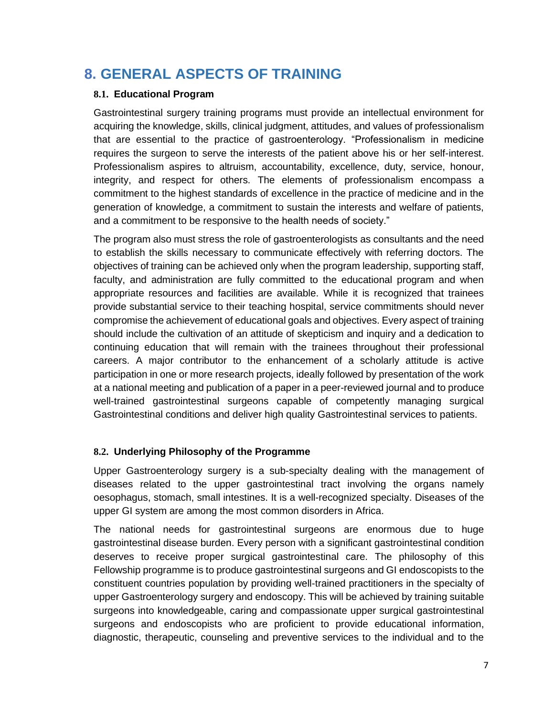## <span id="page-8-0"></span>**8. GENERAL ASPECTS OF TRAINING**

### **8.1. Educational Program**

Gastrointestinal surgery training programs must provide an intellectual environment for acquiring the knowledge, skills, clinical judgment, attitudes, and values of professionalism that are essential to the practice of gastroenterology. "Professionalism in medicine requires the surgeon to serve the interests of the patient above his or her self-interest. Professionalism aspires to altruism, accountability, excellence, duty, service, honour, integrity, and respect for others. The elements of professionalism encompass a commitment to the highest standards of excellence in the practice of medicine and in the generation of knowledge, a commitment to sustain the interests and welfare of patients, and a commitment to be responsive to the health needs of society."

The program also must stress the role of gastroenterologists as consultants and the need to establish the skills necessary to communicate effectively with referring doctors. The objectives of training can be achieved only when the program leadership, supporting staff, faculty, and administration are fully committed to the educational program and when appropriate resources and facilities are available. While it is recognized that trainees provide substantial service to their teaching hospital, service commitments should never compromise the achievement of educational goals and objectives. Every aspect of training should include the cultivation of an attitude of skepticism and inquiry and a dedication to continuing education that will remain with the trainees throughout their professional careers. A major contributor to the enhancement of a scholarly attitude is active participation in one or more research projects, ideally followed by presentation of the work at a national meeting and publication of a paper in a peer-reviewed journal and to produce well-trained gastrointestinal surgeons capable of competently managing surgical Gastrointestinal conditions and deliver high quality Gastrointestinal services to patients.

### **8.2. Underlying Philosophy of the Programme**

Upper Gastroenterology surgery is a sub-specialty dealing with the management of diseases related to the upper gastrointestinal tract involving the organs namely oesophagus, stomach, small intestines. It is a well-recognized specialty. Diseases of the upper GI system are among the most common disorders in Africa.

The national needs for gastrointestinal surgeons are enormous due to huge gastrointestinal disease burden. Every person with a significant gastrointestinal condition deserves to receive proper surgical gastrointestinal care. The philosophy of this Fellowship programme is to produce gastrointestinal surgeons and GI endoscopists to the constituent countries population by providing well-trained practitioners in the specialty of upper Gastroenterology surgery and endoscopy. This will be achieved by training suitable surgeons into knowledgeable, caring and compassionate upper surgical gastrointestinal surgeons and endoscopists who are proficient to provide educational information, diagnostic, therapeutic, counseling and preventive services to the individual and to the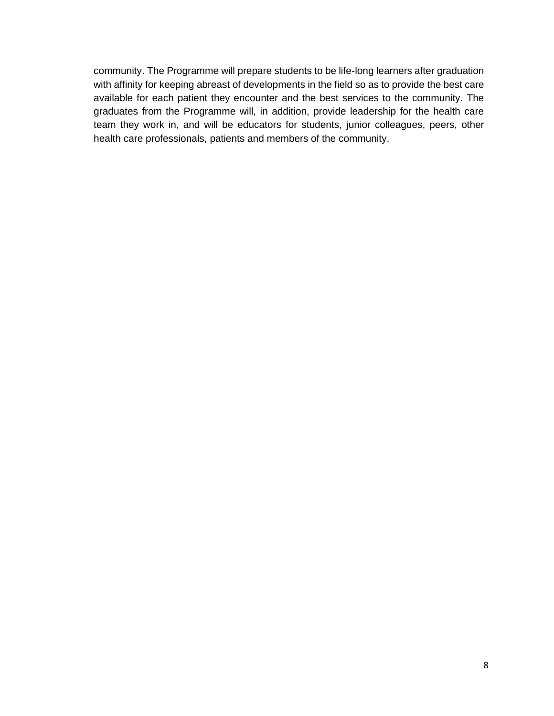community. The Programme will prepare students to be life-long learners after graduation with affinity for keeping abreast of developments in the field so as to provide the best care available for each patient they encounter and the best services to the community. The graduates from the Programme will, in addition, provide leadership for the health care team they work in, and will be educators for students, junior colleagues, peers, other health care professionals, patients and members of the community.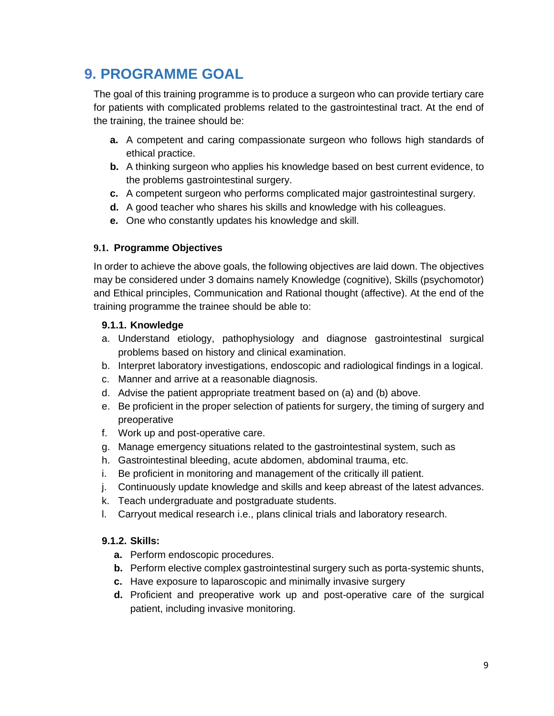# <span id="page-10-0"></span>**9. PROGRAMME GOAL**

The goal of this training programme is to produce a surgeon who can provide tertiary care for patients with complicated problems related to the gastrointestinal tract. At the end of the training, the trainee should be:

- **a.** A competent and caring compassionate surgeon who follows high standards of ethical practice.
- **b.** A thinking surgeon who applies his knowledge based on best current evidence, to the problems gastrointestinal surgery.
- **c.** A competent surgeon who performs complicated major gastrointestinal surgery.
- **d.** A good teacher who shares his skills and knowledge with his colleagues.
- **e.** One who constantly updates his knowledge and skill.

#### **9.1. Programme Objectives**

In order to achieve the above goals, the following objectives are laid down. The objectives may be considered under 3 domains namely Knowledge (cognitive), Skills (psychomotor) and Ethical principles, Communication and Rational thought (affective). At the end of the training programme the trainee should be able to:

#### **9.1.1. Knowledge**

- a. Understand etiology, pathophysiology and diagnose gastrointestinal surgical problems based on history and clinical examination.
- b. Interpret laboratory investigations, endoscopic and radiological findings in a logical.
- c. Manner and arrive at a reasonable diagnosis.
- d. Advise the patient appropriate treatment based on (a) and (b) above.
- e. Be proficient in the proper selection of patients for surgery, the timing of surgery and preoperative
- f. Work up and post-operative care.
- g. Manage emergency situations related to the gastrointestinal system, such as
- h. Gastrointestinal bleeding, acute abdomen, abdominal trauma, etc.
- i. Be proficient in monitoring and management of the critically ill patient.
- j. Continuously update knowledge and skills and keep abreast of the latest advances.
- k. Teach undergraduate and postgraduate students.
- l. Carryout medical research i.e., plans clinical trials and laboratory research.

### **9.1.2. Skills:**

- **a.** Perform endoscopic procedures.
- **b.** Perform elective complex gastrointestinal surgery such as porta-systemic shunts,
- **c.** Have exposure to laparoscopic and minimally invasive surgery
- **d.** Proficient and preoperative work up and post-operative care of the surgical patient, including invasive monitoring.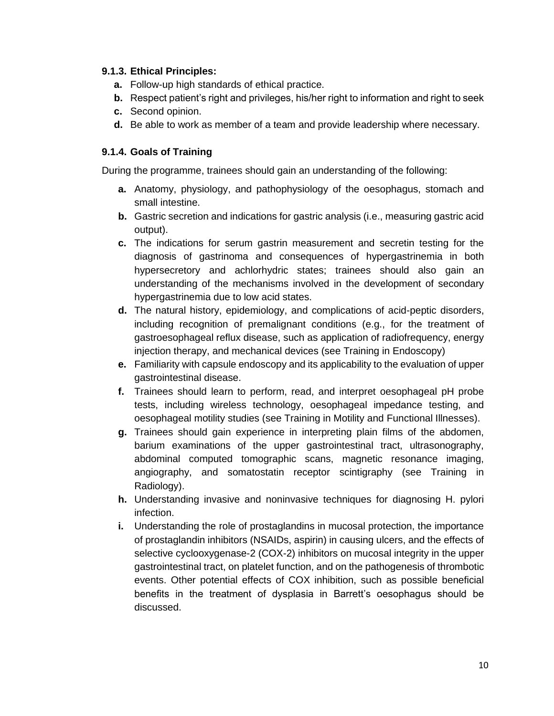#### **9.1.3. Ethical Principles:**

- **a.** Follow-up high standards of ethical practice.
- **b.** Respect patient's right and privileges, his/her right to information and right to seek
- **c.** Second opinion.
- **d.** Be able to work as member of a team and provide leadership where necessary.

### **9.1.4. Goals of Training**

During the programme, trainees should gain an understanding of the following:

- **a.** Anatomy, physiology, and pathophysiology of the oesophagus, stomach and small intestine.
- **b.** Gastric secretion and indications for gastric analysis (i.e., measuring gastric acid output).
- **c.** The indications for serum gastrin measurement and secretin testing for the diagnosis of gastrinoma and consequences of hypergastrinemia in both hypersecretory and achlorhydric states; trainees should also gain an understanding of the mechanisms involved in the development of secondary hypergastrinemia due to low acid states.
- **d.** The natural history, epidemiology, and complications of acid-peptic disorders, including recognition of premalignant conditions (e.g., for the treatment of gastroesophageal reflux disease, such as application of radiofrequency, energy injection therapy, and mechanical devices (see Training in Endoscopy)
- **e.** Familiarity with capsule endoscopy and its applicability to the evaluation of upper gastrointestinal disease.
- **f.** Trainees should learn to perform, read, and interpret oesophageal pH probe tests, including wireless technology, oesophageal impedance testing, and oesophageal motility studies (see Training in Motility and Functional Illnesses).
- **g.** Trainees should gain experience in interpreting plain films of the abdomen, barium examinations of the upper gastrointestinal tract, ultrasonography, abdominal computed tomographic scans, magnetic resonance imaging, angiography, and somatostatin receptor scintigraphy (see Training in Radiology).
- **h.** Understanding invasive and noninvasive techniques for diagnosing H. pylori infection.
- **i.** Understanding the role of prostaglandins in mucosal protection, the importance of prostaglandin inhibitors (NSAIDs, aspirin) in causing ulcers, and the effects of selective cyclooxygenase-2 (COX-2) inhibitors on mucosal integrity in the upper gastrointestinal tract, on platelet function, and on the pathogenesis of thrombotic events. Other potential effects of COX inhibition, such as possible beneficial benefits in the treatment of dysplasia in Barrett's oesophagus should be discussed.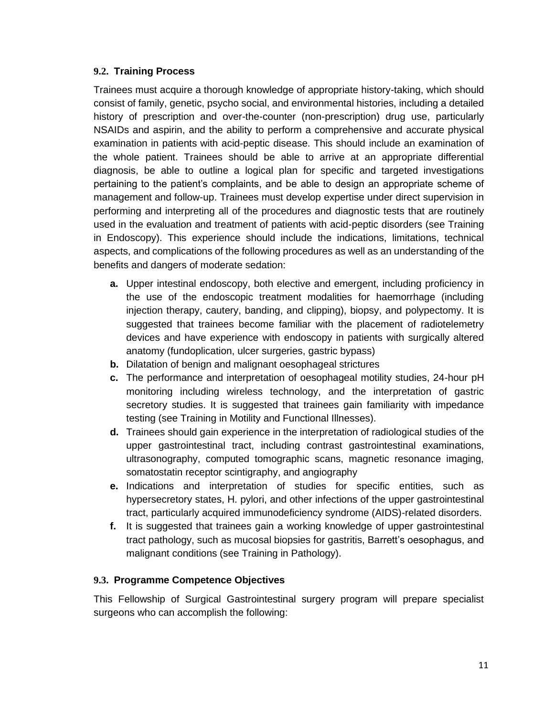#### **9.2. Training Process**

Trainees must acquire a thorough knowledge of appropriate history-taking, which should consist of family, genetic, psycho social, and environmental histories, including a detailed history of prescription and over-the-counter (non-prescription) drug use, particularly NSAIDs and aspirin, and the ability to perform a comprehensive and accurate physical examination in patients with acid-peptic disease. This should include an examination of the whole patient. Trainees should be able to arrive at an appropriate differential diagnosis, be able to outline a logical plan for specific and targeted investigations pertaining to the patient's complaints, and be able to design an appropriate scheme of management and follow-up. Trainees must develop expertise under direct supervision in performing and interpreting all of the procedures and diagnostic tests that are routinely used in the evaluation and treatment of patients with acid-peptic disorders (see Training in Endoscopy). This experience should include the indications, limitations, technical aspects, and complications of the following procedures as well as an understanding of the benefits and dangers of moderate sedation:

- **a.** Upper intestinal endoscopy, both elective and emergent, including proficiency in the use of the endoscopic treatment modalities for haemorrhage (including injection therapy, cautery, banding, and clipping), biopsy, and polypectomy. It is suggested that trainees become familiar with the placement of radiotelemetry devices and have experience with endoscopy in patients with surgically altered anatomy (fundoplication, ulcer surgeries, gastric bypass)
- **b.** Dilatation of benign and malignant oesophageal strictures
- **c.** The performance and interpretation of oesophageal motility studies, 24-hour pH monitoring including wireless technology, and the interpretation of gastric secretory studies. It is suggested that trainees gain familiarity with impedance testing (see Training in Motility and Functional Illnesses).
- **d.** Trainees should gain experience in the interpretation of radiological studies of the upper gastrointestinal tract, including contrast gastrointestinal examinations, ultrasonography, computed tomographic scans, magnetic resonance imaging, somatostatin receptor scintigraphy, and angiography
- **e.** Indications and interpretation of studies for specific entities, such as hypersecretory states, H. pylori, and other infections of the upper gastrointestinal tract, particularly acquired immunodeficiency syndrome (AIDS)-related disorders.
- **f.** It is suggested that trainees gain a working knowledge of upper gastrointestinal tract pathology, such as mucosal biopsies for gastritis, Barrett's oesophagus, and malignant conditions (see Training in Pathology).

### **9.3. Programme Competence Objectives**

This Fellowship of Surgical Gastrointestinal surgery program will prepare specialist surgeons who can accomplish the following: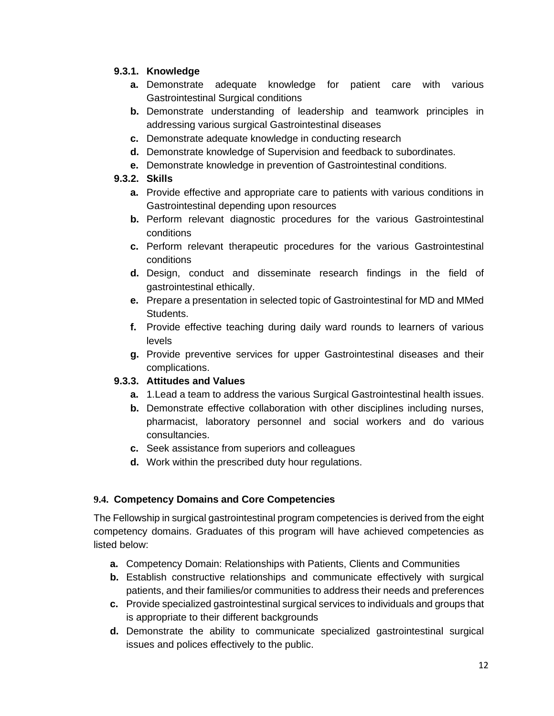### **9.3.1. Knowledge**

- **a.** Demonstrate adequate knowledge for patient care with various Gastrointestinal Surgical conditions
- **b.** Demonstrate understanding of leadership and teamwork principles in addressing various surgical Gastrointestinal diseases
- **c.** Demonstrate adequate knowledge in conducting research
- **d.** Demonstrate knowledge of Supervision and feedback to subordinates.
- **e.** Demonstrate knowledge in prevention of Gastrointestinal conditions.

## **9.3.2. Skills**

- **a.** Provide effective and appropriate care to patients with various conditions in Gastrointestinal depending upon resources
- **b.** Perform relevant diagnostic procedures for the various Gastrointestinal conditions
- **c.** Perform relevant therapeutic procedures for the various Gastrointestinal conditions
- **d.** Design, conduct and disseminate research findings in the field of gastrointestinal ethically.
- **e.** Prepare a presentation in selected topic of Gastrointestinal for MD and MMed Students.
- **f.** Provide effective teaching during daily ward rounds to learners of various levels
- **g.** Provide preventive services for upper Gastrointestinal diseases and their complications.

## **9.3.3. Attitudes and Values**

- **a.** 1.Lead a team to address the various Surgical Gastrointestinal health issues.
- **b.** Demonstrate effective collaboration with other disciplines including nurses, pharmacist, laboratory personnel and social workers and do various consultancies.
- **c.** Seek assistance from superiors and colleagues
- **d.** Work within the prescribed duty hour regulations.

## **9.4. Competency Domains and Core Competencies**

The Fellowship in surgical gastrointestinal program competencies is derived from the eight competency domains. Graduates of this program will have achieved competencies as listed below:

- **a.** Competency Domain: Relationships with Patients, Clients and Communities
- **b.** Establish constructive relationships and communicate effectively with surgical patients, and their families/or communities to address their needs and preferences
- **c.** Provide specialized gastrointestinal surgical services to individuals and groups that is appropriate to their different backgrounds
- **d.** Demonstrate the ability to communicate specialized gastrointestinal surgical issues and polices effectively to the public.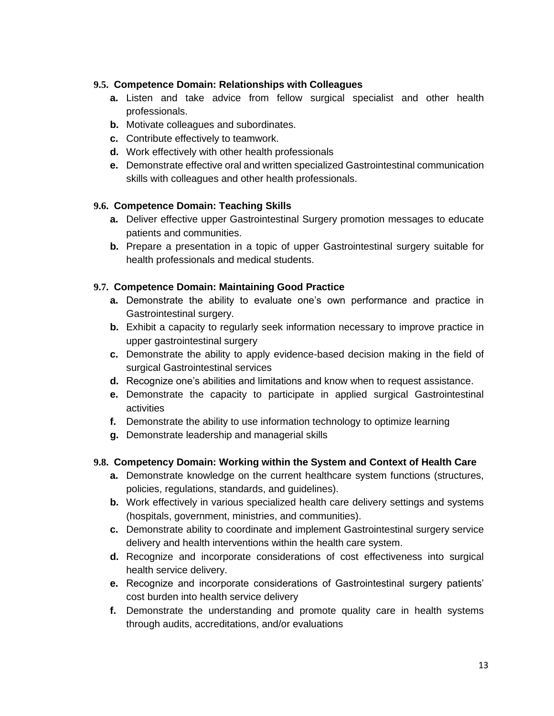### **9.5. Competence Domain: Relationships with Colleagues**

- **a.** Listen and take advice from fellow surgical specialist and other health professionals.
- **b.** Motivate colleagues and subordinates.
- **c.** Contribute effectively to teamwork.
- **d.** Work effectively with other health professionals
- **e.** Demonstrate effective oral and written specialized Gastrointestinal communication skills with colleagues and other health professionals.

#### **9.6. Competence Domain: Teaching Skills**

- **a.** Deliver effective upper Gastrointestinal Surgery promotion messages to educate patients and communities.
- **b.** Prepare a presentation in a topic of upper Gastrointestinal surgery suitable for health professionals and medical students.

#### **9.7. Competence Domain: Maintaining Good Practice**

- **a.** Demonstrate the ability to evaluate one's own performance and practice in Gastrointestinal surgery.
- **b.** Exhibit a capacity to regularly seek information necessary to improve practice in upper gastrointestinal surgery
- **c.** Demonstrate the ability to apply evidence-based decision making in the field of surgical Gastrointestinal services
- **d.** Recognize one's abilities and limitations and know when to request assistance.
- **e.** Demonstrate the capacity to participate in applied surgical Gastrointestinal activities
- **f.** Demonstrate the ability to use information technology to optimize learning
- **g.** Demonstrate leadership and managerial skills

### **9.8. Competency Domain: Working within the System and Context of Health Care**

- **a.** Demonstrate knowledge on the current healthcare system functions (structures, policies, regulations, standards, and guidelines).
- **b.** Work effectively in various specialized health care delivery settings and systems (hospitals, government, ministries, and communities).
- **c.** Demonstrate ability to coordinate and implement Gastrointestinal surgery service delivery and health interventions within the health care system.
- **d.** Recognize and incorporate considerations of cost effectiveness into surgical health service delivery.
- **e.** Recognize and incorporate considerations of Gastrointestinal surgery patients' cost burden into health service delivery
- **f.** Demonstrate the understanding and promote quality care in health systems through audits, accreditations, and/or evaluations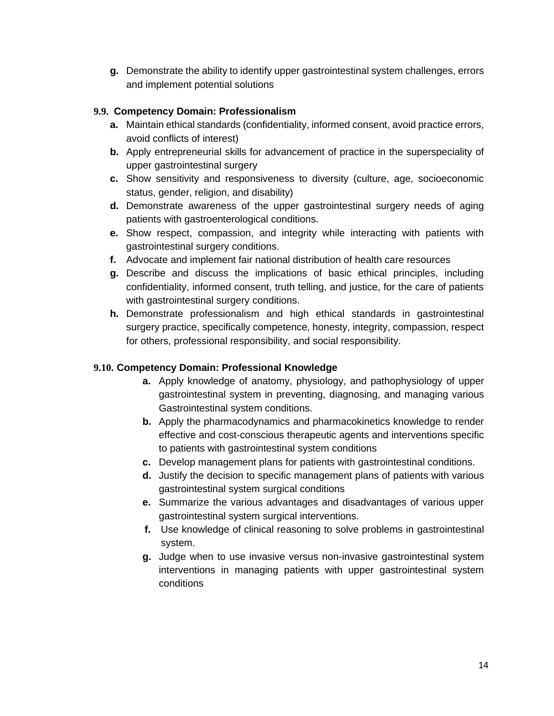**g.** Demonstrate the ability to identify upper gastrointestinal system challenges, errors and implement potential solutions

### **9.9. Competency Domain: Professionalism**

- **a.** Maintain ethical standards (confidentiality, informed consent, avoid practice errors, avoid conflicts of interest)
- **b.** Apply entrepreneurial skills for advancement of practice in the superspeciality of upper gastrointestinal surgery
- **c.** Show sensitivity and responsiveness to diversity (culture, age, socioeconomic status, gender, religion, and disability)
- **d.** Demonstrate awareness of the upper gastrointestinal surgery needs of aging patients with gastroenterological conditions.
- **e.** Show respect, compassion, and integrity while interacting with patients with gastrointestinal surgery conditions.
- **f.** Advocate and implement fair national distribution of health care resources
- **g.** Describe and discuss the implications of basic ethical principles, including confidentiality, informed consent, truth telling, and justice, for the care of patients with gastrointestinal surgery conditions.
- **h.** Demonstrate professionalism and high ethical standards in gastrointestinal surgery practice, specifically competence, honesty, integrity, compassion, respect for others, professional responsibility, and social responsibility.

### **9.10. Competency Domain: Professional Knowledge**

- **a.** Apply knowledge of anatomy, physiology, and pathophysiology of upper gastrointestinal system in preventing, diagnosing, and managing various Gastrointestinal system conditions.
- **b.** Apply the pharmacodynamics and pharmacokinetics knowledge to render effective and cost-conscious therapeutic agents and interventions specific to patients with gastrointestinal system conditions
- **c.** Develop management plans for patients with gastrointestinal conditions.
- **d.** Justify the decision to specific management plans of patients with various gastrointestinal system surgical conditions
- **e.** Summarize the various advantages and disadvantages of various upper gastrointestinal system surgical interventions.
- **f.** Use knowledge of clinical reasoning to solve problems in gastrointestinal system.
- **g.** Judge when to use invasive versus non-invasive gastrointestinal system interventions in managing patients with upper gastrointestinal system conditions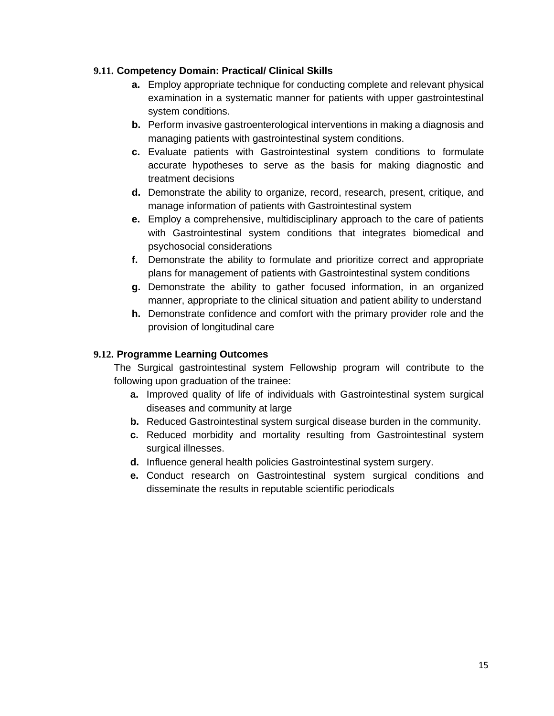### **9.11. Competency Domain: Practical/ Clinical Skills**

- **a.** Employ appropriate technique for conducting complete and relevant physical examination in a systematic manner for patients with upper gastrointestinal system conditions.
- **b.** Perform invasive gastroenterological interventions in making a diagnosis and managing patients with gastrointestinal system conditions.
- **c.** Evaluate patients with Gastrointestinal system conditions to formulate accurate hypotheses to serve as the basis for making diagnostic and treatment decisions
- **d.** Demonstrate the ability to organize, record, research, present, critique, and manage information of patients with Gastrointestinal system
- **e.** Employ a comprehensive, multidisciplinary approach to the care of patients with Gastrointestinal system conditions that integrates biomedical and psychosocial considerations
- **f.** Demonstrate the ability to formulate and prioritize correct and appropriate plans for management of patients with Gastrointestinal system conditions
- **g.** Demonstrate the ability to gather focused information, in an organized manner, appropriate to the clinical situation and patient ability to understand
- **h.** Demonstrate confidence and comfort with the primary provider role and the provision of longitudinal care

#### **9.12. Programme Learning Outcomes**

The Surgical gastrointestinal system Fellowship program will contribute to the following upon graduation of the trainee:

- **a.** Improved quality of life of individuals with Gastrointestinal system surgical diseases and community at large
- **b.** Reduced Gastrointestinal system surgical disease burden in the community.
- **c.** Reduced morbidity and mortality resulting from Gastrointestinal system surgical illnesses.
- **d.** Influence general health policies Gastrointestinal system surgery.
- <span id="page-16-0"></span>**e.** Conduct research on Gastrointestinal system surgical conditions and disseminate the results in reputable scientific periodicals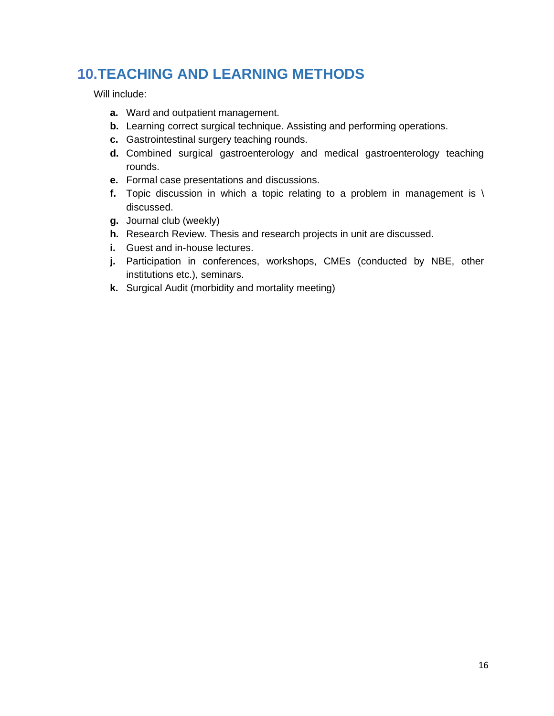# **10.TEACHING AND LEARNING METHODS**

Will include:

- **a.** Ward and outpatient management.
- **b.** Learning correct surgical technique. Assisting and performing operations.
- **c.** Gastrointestinal surgery teaching rounds.
- **d.** Combined surgical gastroenterology and medical gastroenterology teaching rounds.
- **e.** Formal case presentations and discussions.
- **f.** Topic discussion in which a topic relating to a problem in management is \ discussed.
- **g.** Journal club (weekly)
- **h.** Research Review. Thesis and research projects in unit are discussed.
- **i.** Guest and in-house lectures.
- **j.** Participation in conferences, workshops, CMEs (conducted by NBE, other institutions etc.), seminars.
- **k.** Surgical Audit (morbidity and mortality meeting)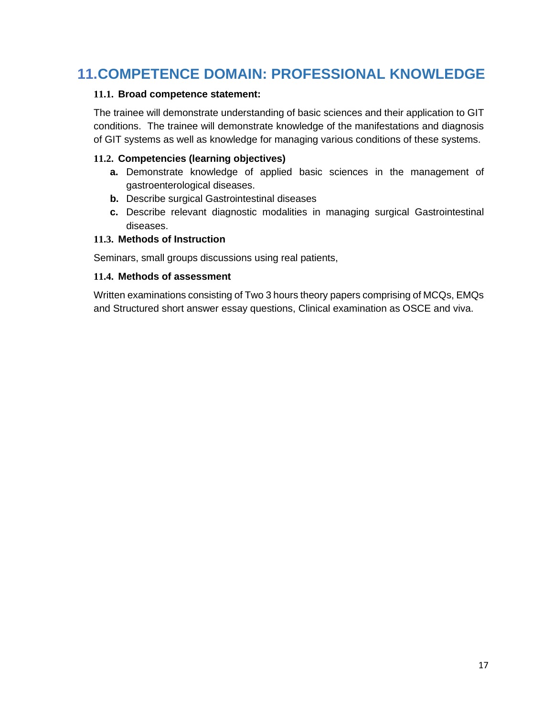# <span id="page-18-0"></span>**11.COMPETENCE DOMAIN: PROFESSIONAL KNOWLEDGE**

#### **11.1. Broad competence statement:**

The trainee will demonstrate understanding of basic sciences and their application to GIT conditions. The trainee will demonstrate knowledge of the manifestations and diagnosis of GIT systems as well as knowledge for managing various conditions of these systems.

### **11.2. Competencies (learning objectives)**

- **a.** Demonstrate knowledge of applied basic sciences in the management of gastroenterological diseases.
- **b.** Describe surgical Gastrointestinal diseases
- **c.** Describe relevant diagnostic modalities in managing surgical Gastrointestinal diseases.

#### **11.3. Methods of Instruction**

Seminars, small groups discussions using real patients,

#### **11.4. Methods of assessment**

Written examinations consisting of Two 3 hours theory papers comprising of MCQs, EMQs and Structured short answer essay questions, Clinical examination as OSCE and viva.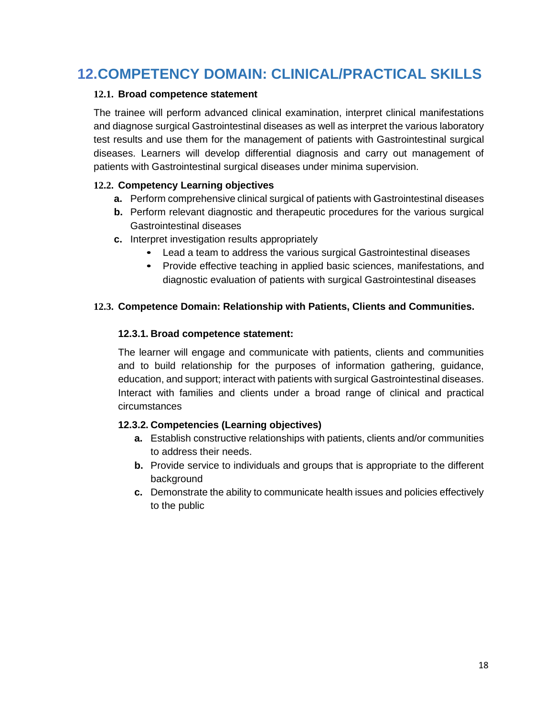# <span id="page-19-0"></span>**12.COMPETENCY DOMAIN: CLINICAL/PRACTICAL SKILLS**

#### **12.1. Broad competence statement**

The trainee will perform advanced clinical examination, interpret clinical manifestations and diagnose surgical Gastrointestinal diseases as well as interpret the various laboratory test results and use them for the management of patients with Gastrointestinal surgical diseases. Learners will develop differential diagnosis and carry out management of patients with Gastrointestinal surgical diseases under minima supervision.

### **12.2. Competency Learning objectives**

- **a.** Perform comprehensive clinical surgical of patients with Gastrointestinal diseases
- **b.** Perform relevant diagnostic and therapeutic procedures for the various surgical Gastrointestinal diseases
- **c.** Interpret investigation results appropriately
	- **•** Lead a team to address the various surgical Gastrointestinal diseases
	- **•** Provide effective teaching in applied basic sciences, manifestations, and diagnostic evaluation of patients with surgical Gastrointestinal diseases

#### **12.3. Competence Domain: Relationship with Patients, Clients and Communities.**

#### **12.3.1. Broad competence statement:**

The learner will engage and communicate with patients, clients and communities and to build relationship for the purposes of information gathering, guidance, education, and support; interact with patients with surgical Gastrointestinal diseases. Interact with families and clients under a broad range of clinical and practical circumstances

#### **12.3.2. Competencies (Learning objectives)**

- **a.** Establish constructive relationships with patients, clients and/or communities to address their needs.
- **b.** Provide service to individuals and groups that is appropriate to the different background
- **c.** Demonstrate the ability to communicate health issues and policies effectively to the public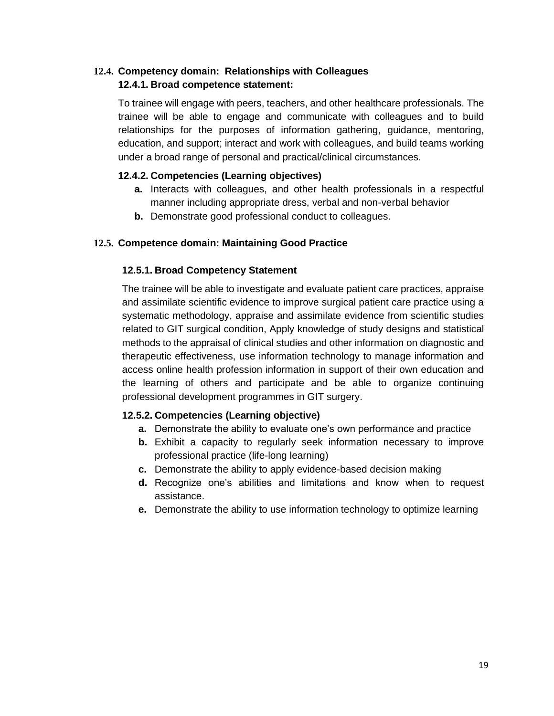## **12.4. Competency domain: Relationships with Colleagues 12.4.1. Broad competence statement:**

To trainee will engage with peers, teachers, and other healthcare professionals. The trainee will be able to engage and communicate with colleagues and to build relationships for the purposes of information gathering, guidance, mentoring, education, and support; interact and work with colleagues, and build teams working under a broad range of personal and practical/clinical circumstances.

## **12.4.2. Competencies (Learning objectives)**

- **a.** Interacts with colleagues, and other health professionals in a respectful manner including appropriate dress, verbal and non-verbal behavior
- **b.** Demonstrate good professional conduct to colleagues.

## **12.5. Competence domain: Maintaining Good Practice**

## **12.5.1. Broad Competency Statement**

The trainee will be able to investigate and evaluate patient care practices, appraise and assimilate scientific evidence to improve surgical patient care practice using a systematic methodology, appraise and assimilate evidence from scientific studies related to GIT surgical condition, Apply knowledge of study designs and statistical methods to the appraisal of clinical studies and other information on diagnostic and therapeutic effectiveness, use information technology to manage information and access online health profession information in support of their own education and the learning of others and participate and be able to organize continuing professional development programmes in GIT surgery.

### **12.5.2. Competencies (Learning objective)**

- **a.** Demonstrate the ability to evaluate one's own performance and practice
- **b.** Exhibit a capacity to regularly seek information necessary to improve professional practice (life-long learning)
- **c.** Demonstrate the ability to apply evidence-based decision making
- **d.** Recognize one's abilities and limitations and know when to request assistance.
- **e.** Demonstrate the ability to use information technology to optimize learning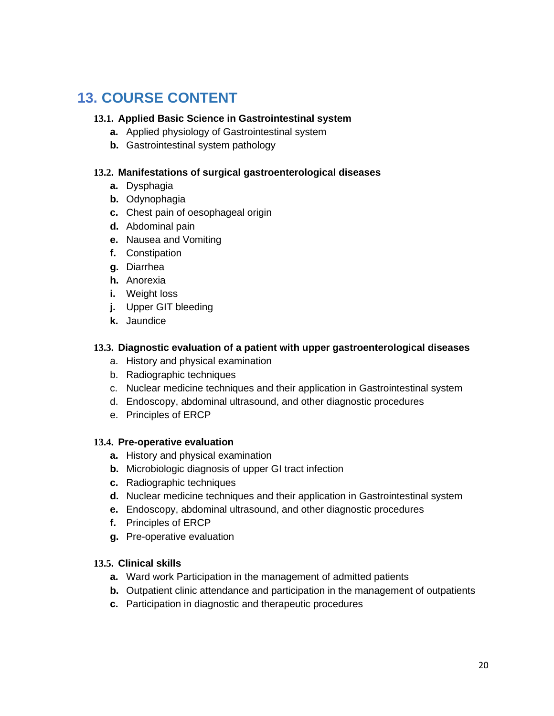# <span id="page-21-0"></span>**13. COURSE CONTENT**

#### **13.1. Applied Basic Science in Gastrointestinal system**

- **a.** Applied physiology of Gastrointestinal system
- **b.** Gastrointestinal system pathology

#### **13.2. Manifestations of surgical gastroenterological diseases**

- **a.** Dysphagia
- **b.** Odynophagia
- **c.** Chest pain of oesophageal origin
- **d.** Abdominal pain
- **e.** Nausea and Vomiting
- **f.** Constipation
- **g.** Diarrhea
- **h.** Anorexia
- **i.** Weight loss
- **j.** Upper GIT bleeding
- **k.** Jaundice

#### **13.3. Diagnostic evaluation of a patient with upper gastroenterological diseases**

- a. History and physical examination
- b. Radiographic techniques
- c. Nuclear medicine techniques and their application in Gastrointestinal system
- d. Endoscopy, abdominal ultrasound, and other diagnostic procedures
- e. Principles of ERCP

#### **13.4. Pre-operative evaluation**

- **a.** History and physical examination
- **b.** Microbiologic diagnosis of upper GI tract infection
- **c.** Radiographic techniques
- **d.** Nuclear medicine techniques and their application in Gastrointestinal system
- **e.** Endoscopy, abdominal ultrasound, and other diagnostic procedures
- **f.** Principles of ERCP
- **g.** Pre-operative evaluation

#### **13.5. Clinical skills**

- **a.** Ward work Participation in the management of admitted patients
- **b.** Outpatient clinic attendance and participation in the management of outpatients
- **c.** Participation in diagnostic and therapeutic procedures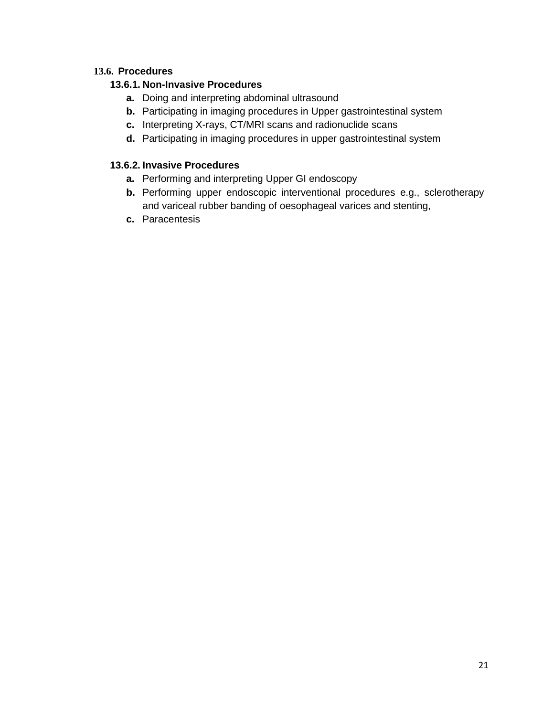### **13.6. Procedures**

## **13.6.1. Non-Invasive Procedures**

- **a.** Doing and interpreting abdominal ultrasound
- **b.** Participating in imaging procedures in Upper gastrointestinal system
- **c.** Interpreting X-rays, CT/MRI scans and radionuclide scans
- **d.** Participating in imaging procedures in upper gastrointestinal system

## **13.6.2. Invasive Procedures**

- **a.** Performing and interpreting Upper GI endoscopy
- **b.** Performing upper endoscopic interventional procedures e.g., sclerotherapy and variceal rubber banding of oesophageal varices and stenting,
- **c.** Paracentesis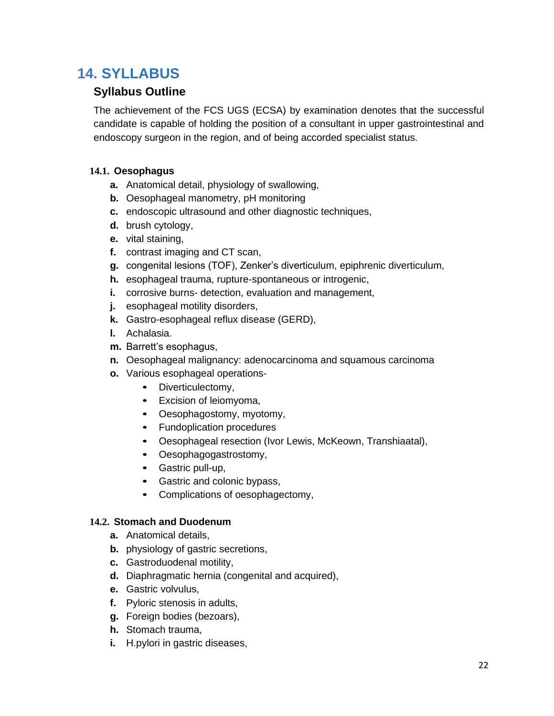# <span id="page-23-1"></span>**14. SYLLABUS**

## <span id="page-23-0"></span>**Syllabus Outline**

The achievement of the FCS UGS (ECSA) by examination denotes that the successful candidate is capable of holding the position of a consultant in upper gastrointestinal and endoscopy surgeon in the region, and of being accorded specialist status.

## **14.1. Oesophagus**

- **a.** Anatomical detail, physiology of swallowing,
- **b.** Oesophageal manometry, pH monitoring
- **c.** endoscopic ultrasound and other diagnostic techniques,
- **d.** brush cytology,
- **e.** vital staining,
- **f.** contrast imaging and CT scan,
- **g.** congenital lesions (TOF), Zenker's diverticulum, epiphrenic diverticulum,
- **h.** esophageal trauma, rupture-spontaneous or introgenic,
- **i.** corrosive burns- detection, evaluation and management,
- **j.** esophageal motility disorders,
- **k.** Gastro-esophageal reflux disease (GERD),
- **l.** Achalasia.
- **m.** Barrett's esophagus,
- **n.** Oesophageal malignancy: adenocarcinoma and squamous carcinoma
- **o.** Various esophageal operations-
	- **•** Diverticulectomy,
	- **•** Excision of leiomyoma,
	- **•** Oesophagostomy, myotomy,
	- **•** Fundoplication procedures
	- **•** Oesophageal resection (Ivor Lewis, McKeown, Transhiaatal),
	- **•** Oesophagogastrostomy,
	- **•** Gastric pull-up,
	- **•** Gastric and colonic bypass,
	- **•** Complications of oesophagectomy,

### **14.2. Stomach and Duodenum**

- **a.** Anatomical details,
- **b.** physiology of gastric secretions,
- **c.** Gastroduodenal motility,
- **d.** Diaphragmatic hernia (congenital and acquired),
- **e.** Gastric volvulus,
- **f.** Pyloric stenosis in adults,
- **g.** Foreign bodies (bezoars),
- **h.** Stomach trauma,
- **i.** H.pylori in gastric diseases,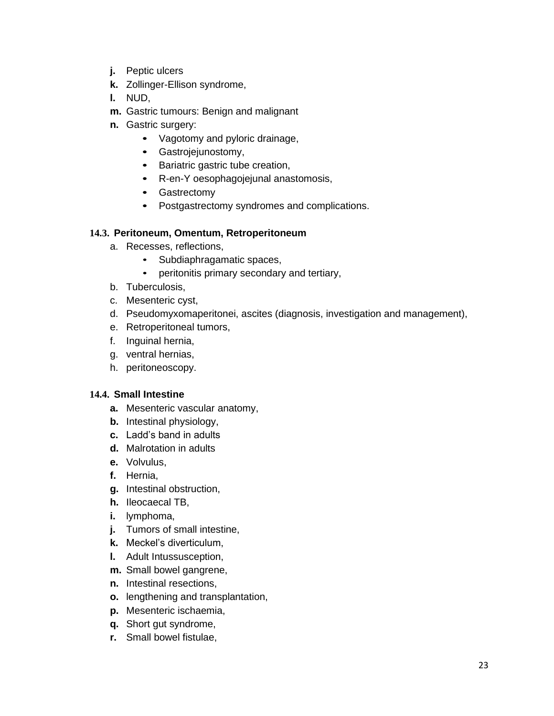- **j.** Peptic ulcers
- **k.** Zollinger-Ellison syndrome,
- **l.** NUD,
- **m.** Gastric tumours: Benign and malignant
- **n.** Gastric surgery:
	- **•** Vagotomy and pyloric drainage,
	- **•** Gastrojejunostomy,
	- **•** Bariatric gastric tube creation,
	- **•** R-en-Y oesophagojejunal anastomosis,
	- **•** Gastrectomy
	- **•** Postgastrectomy syndromes and complications.

#### **14.3. Peritoneum, Omentum, Retroperitoneum**

- a. Recesses, reflections,
	- Subdiaphragamatic spaces,
	- peritonitis primary secondary and tertiary,
- b. Tuberculosis,
- c. Mesenteric cyst,
- d. Pseudomyxomaperitonei, ascites (diagnosis, investigation and management),
- e. Retroperitoneal tumors,
- f. Inguinal hernia,
- g. ventral hernias,
- h. peritoneoscopy.

#### **14.4. Small Intestine**

- **a.** Mesenteric vascular anatomy,
- **b.** Intestinal physiology,
- **c.** Ladd's band in adults
- **d.** Malrotation in adults
- **e.** Volvulus,
- **f.** Hernia,
- **g.** Intestinal obstruction,
- **h.** Ileocaecal TB,
- **i.** lymphoma,
- **j.** Tumors of small intestine,
- **k.** Meckel's diverticulum,
- **l.** Adult Intussusception,
- **m.** Small bowel gangrene,
- **n.** Intestinal resections,
- **o.** lengthening and transplantation,
- **p.** Mesenteric ischaemia,
- **q.** Short gut syndrome,
- **r.** Small bowel fistulae,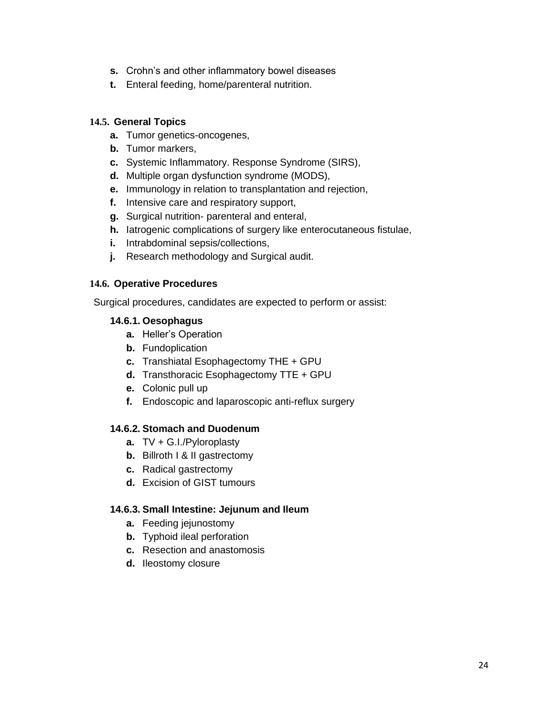- **s.** Crohn's and other inflammatory bowel diseases
- **t.** Enteral feeding, home/parenteral nutrition.

#### **14.5. General Topics**

- **a.** Tumor genetics-oncogenes,
- **b.** Tumor markers,
- **c.** Systemic Inflammatory. Response Syndrome (SIRS),
- **d.** Multiple organ dysfunction syndrome (MODS),
- **e.** Immunology in relation to transplantation and rejection,
- **f.** Intensive care and respiratory support,
- **g.** Surgical nutrition- parenteral and enteral,
- **h.** Iatrogenic complications of surgery like enterocutaneous fistulae,
- **i.** Intrabdominal sepsis/collections,
- **j.** Research methodology and Surgical audit.

#### **14.6. Operative Procedures**

Surgical procedures, candidates are expected to perform or assist:

#### **14.6.1. Oesophagus**

- **a.** Heller's Operation
- **b.** Fundoplication
- **c.** Transhiatal Esophagectomy THE + GPU
- **d.** Transthoracic Esophagectomy TTE + GPU
- **e.** Colonic pull up
- **f.** Endoscopic and laparoscopic anti-reflux surgery

#### **14.6.2. Stomach and Duodenum**

- **a.** TV + G.I./Pyloroplasty
- **b.** Billroth I & II gastrectomy
- **c.** Radical gastrectomy
- **d.** Excision of GIST tumours

#### **14.6.3. Small Intestine: Jejunum and Ileum**

- **a.** Feeding jejunostomy
- **b.** Typhoid ileal perforation
- **c.** Resection and anastomosis
- **d.** Ileostomy closure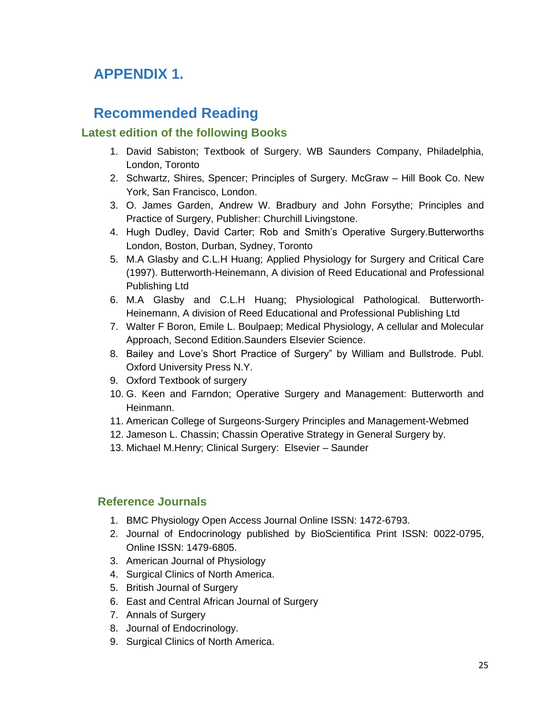# **APPENDIX 1.**

## **Recommended Reading**

## <span id="page-26-0"></span> **Latest edition of the following Books**

- 1. David Sabiston; Textbook of Surgery. WB Saunders Company, Philadelphia, London, Toronto
- 2. Schwartz, Shires, Spencer; Principles of Surgery. McGraw Hill Book Co. New York, San Francisco, London.
- 3. O. James Garden, Andrew W. Bradbury and John Forsythe; Principles and Practice of Surgery, Publisher: Churchill Livingstone.
- 4. Hugh Dudley, David Carter; Rob and Smith's Operative Surgery.Butterworths London, Boston, Durban, Sydney, Toronto
- 5. M.A Glasby and C.L.H Huang; Applied Physiology for Surgery and Critical Care (1997). Butterworth-Heinemann, A division of Reed Educational and Professional Publishing Ltd
- 6. M.A Glasby and C.L.H Huang; Physiological Pathological. Butterworth-Heinemann, A division of Reed Educational and Professional Publishing Ltd
- 7. Walter F Boron, Emile L. Boulpaep; Medical Physiology, A cellular and Molecular Approach, Second Edition.Saunders Elsevier Science.
- 8. Bailey and Love's Short Practice of Surgery" by William and Bullstrode. Publ. Oxford University Press N.Y.
- 9. Oxford Textbook of surgery
- 10. G. Keen and Farndon; Operative Surgery and Management: Butterworth and Heinmann.
- 11. American College of Surgeons-Surgery Principles and Management-Webmed
- 12. Jameson L. Chassin; Chassin Operative Strategy in General Surgery by.
- 13. Michael M.Henry; Clinical Surgery: Elsevier Saunder

## <span id="page-26-1"></span> **Reference Journals**

- 1. BMC Physiology Open Access Journal Online ISSN: 1472-6793.
- 2. Journal of Endocrinology published by BioScientifica Print ISSN: 0022-0795, Online ISSN: 1479-6805.
- 3. American Journal of Physiology
- 4. Surgical Clinics of North America.
- 5. British Journal of Surgery
- 6. East and Central African Journal of Surgery
- 7. Annals of Surgery
- 8. Journal of Endocrinology.
- 9. Surgical Clinics of North America.